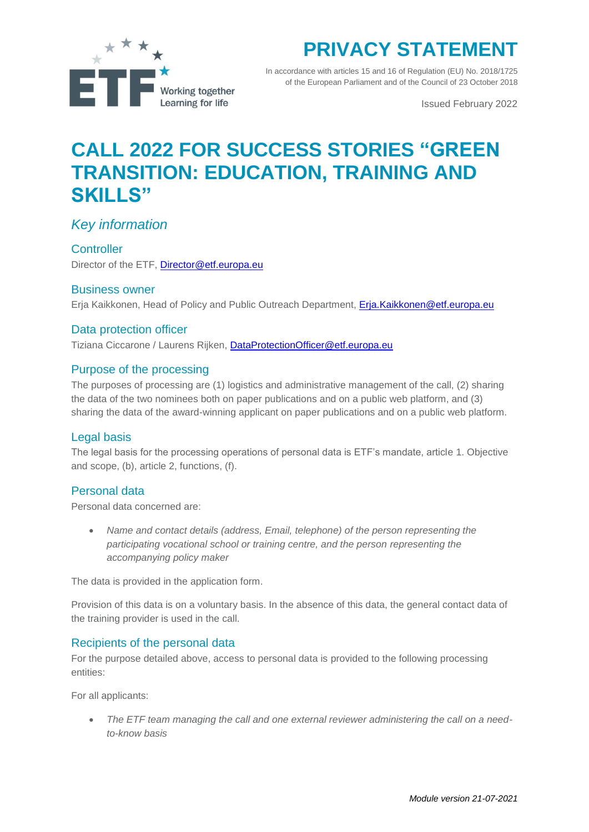

# **PRIVACY STATEMENT**

In accordance with articles 15 and 16 of Regulation (EU) No. 2018/1725 of the European Parliament and of the Council of 23 October 2018

Issued February 2022

## **CALL 2022 FOR SUCCESS STORIES "GREEN TRANSITION: EDUCATION, TRAINING AND SKILLS"**

## *Key information*

#### **Controller**

Director of the ETF, [Director@etf.europa.eu](mailto:Director@etf.europa.eu)

#### Business owner

Erja Kaikkonen, Head of Policy and Public Outreach Department, [Erja.Kaikkonen@etf.europa.eu](mailto:Erja.Kaikkonen@etf.europa.eu)

#### Data protection officer

Tiziana Ciccarone / Laurens Rijken, [DataProtectionOfficer@etf.europa.eu](mailto:DataProtectionOfficer@etf.europa.eu)

#### Purpose of the processing

The purposes of processing are (1) logistics and administrative management of the call, (2) sharing the data of the two nominees both on paper publications and on a public web platform, and (3) sharing the data of the award-winning applicant on paper publications and on a public web platform.

#### Legal basis

The legal basis for the processing operations of personal data is ETF's mandate, article 1. Objective and scope, (b), article 2, functions, (f).

#### Personal data

Personal data concerned are:

 *Name and contact details (address, Email, telephone) of the person representing the participating vocational school or training centre, and the person representing the accompanying policy maker*

The data is provided in the application form.

Provision of this data is on a voluntary basis. In the absence of this data, the general contact data of the training provider is used in the call.

#### Recipients of the personal data

For the purpose detailed above, access to personal data is provided to the following processing entities:

For all applicants:

 *The ETF team managing the call and one external reviewer administering the call on a needto-know basis*